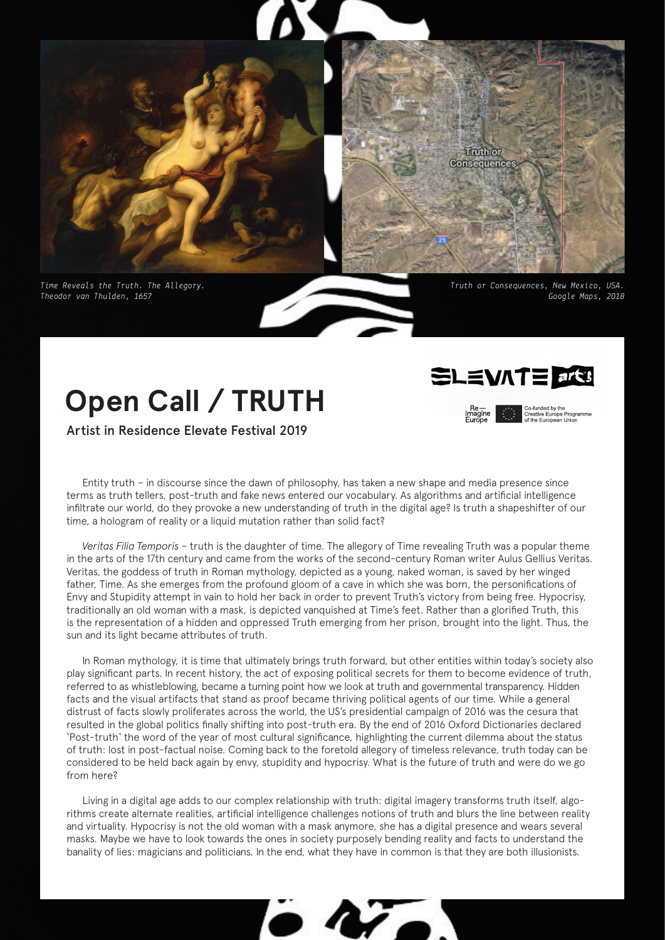



*Time Reveals the Truth. The Allegory. Theodor van Thulden, 1657*

*Truth or Consequences, New Mexico, USA. Google Maps, 2018*

# **Open Call / TRUTH**

Artist in Residence Elevate Festival 2019



Co-funded by the<br>Creative Europe Programme<br>of the European Union

Entity truth – in discourse since the dawn of philosophy, has taken a new shape and media presence since terms as truth tellers, post-truth and fake news entered our vocabulary. As algorithms and artificial intelligence infiltrate our world, do they provoke a new understanding of truth in the digital age? Is truth a shapeshifter of our time, a hologram of reality or a liquid mutation rather than solid fact?

*Veritas Filia Temporis* – truth is the daughter of time. The allegory of Time revealing Truth was a popular theme in the arts of the 17th century and came from the works of the second-century Roman writer Aulus Gellius Veritas. Veritas, the goddess of truth in Roman mythology, depicted as a young, naked woman, is saved by her winged father, Time. As she emerges from the profound gloom of a cave in which she was born, the personifications of Envy and Stupidity attempt in vain to hold her back in order to prevent Truth's victory from being free. Hypocrisy, traditionally an old woman with a mask, is depicted vanquished at Time's feet. Rather than a glorified Truth, this is the representation of a hidden and oppressed Truth emerging from her prison, brought into the light. Thus, the sun and its light became attributes of truth.

In Roman mythology, it is time that ultimately brings truth forward, but other entities within today's society also play significant parts. In recent history, the act of exposing political secrets for them to become evidence of truth, referred to as whistleblowing, became a turning point how we look at truth and governmental transparency. Hidden facts and the visual artifacts that stand as proof became thriving political agents of our time. While a general distrust of facts slowly proliferates across the world, the US's presidential campaign of 2016 was the cesura that resulted in the global politics finally shifting into post-truth era. By the end of 2016 Oxford Dictionaries declared 'Post-truth' the word of the year of most cultural significance, highlighting the current dilemma about the status of truth: lost in post-factual noise. Coming back to the foretold allegory of timeless relevance, truth today can be considered to be held back again by envy, stupidity and hypocrisy. What is the future of truth and were do we go from here?

Living in a digital age adds to our complex relationship with truth: digital imagery transforms truth itself, algorithms create alternate realities, artificial intelligence challenges notions of truth and blurs the line between reality and virtuality. Hypocrisy is not the old woman with a mask anymore, she has a digital presence and wears several masks. Maybe we have to look towards the ones in society purposely bending reality and facts to understand the banality of lies: magicians and politicians. In the end, what they have in common is that they are both illusionists.